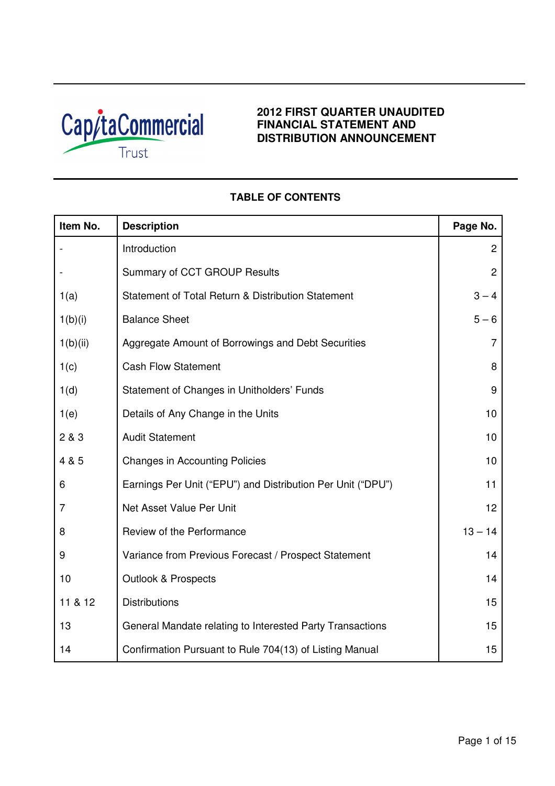

# **2012 FIRST QUARTER UNAUDITED FINANCIAL STATEMENT AND DISTRIBUTION ANNOUNCEMENT**

# **Item No.** Description **Page No. Page No.** - Introduction 2 and 2 and 2 and 2 and 2 and 2 and 2 and 2 and 2 and 2 and 2 and 2 and 2 and 2 and 2 and 2 and 2 and 2 and 2 and 2 and 2 and 2 and 2 and 2 and 2 and 2 and 2 and 2 and 2 and 2 and 2 and 2 and 2 and 2 and 2 a Summary of CCT GROUP Results 2 1(a) Statement of Total Return & Distribution Statement 1 (a) 3 – 4  $1(b)(i)$  Balance Sheet 5 – 6 1(b)(ii) Aggregate Amount of Borrowings and Debt Securities 7 1(c) Cash Flow Statement 8 1(d) Statement of Changes in Unitholders' Funds and Statement of Changes in Unitholders' Funds 1(e) Details of Any Change in the Units 10 2 & 3 Audit Statement 10 4 & 5 Changes in Accounting Policies 10 and 10 6 Earnings Per Unit ("EPU") and Distribution Per Unit ("DPU") 11 7 **Net Asset Value Per Unit 12** and 12 8 Review of the Performance **13 – 14** Performance 9 Variance from Previous Forecast / Prospect Statement 14 10 **Outlook & Prospects** 14 11 & 12 Distributions 15 13 **General Mandate relating to Interested Party Transactions** 15 14 Confirmation Pursuant to Rule 704(13) of Listing Manual 15

# **TABLE OF CONTENTS**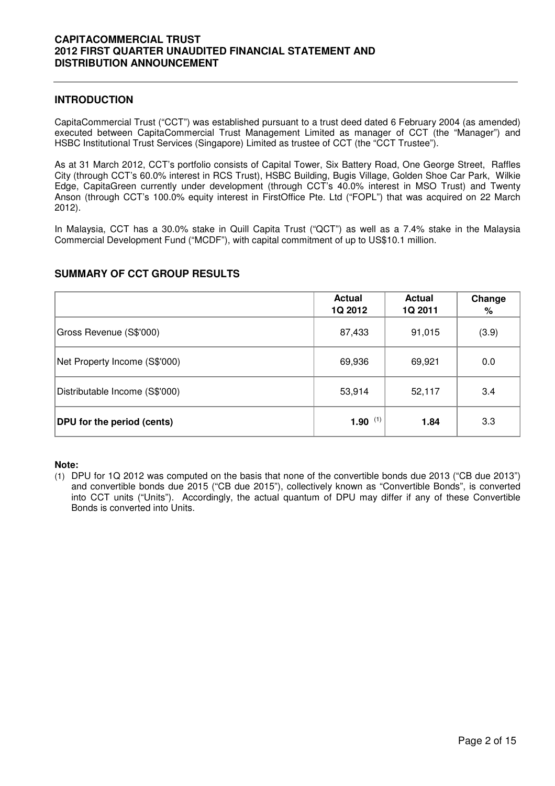### **INTRODUCTION**

CapitaCommercial Trust ("CCT") was established pursuant to a trust deed dated 6 February 2004 (as amended) executed between CapitaCommercial Trust Management Limited as manager of CCT (the "Manager") and HSBC Institutional Trust Services (Singapore) Limited as trustee of CCT (the "CCT Trustee").

As at 31 March 2012, CCT's portfolio consists of Capital Tower, Six Battery Road, One George Street, Raffles City (through CCT's 60.0% interest in RCS Trust), HSBC Building, Bugis Village, Golden Shoe Car Park, Wilkie Edge, CapitaGreen currently under development (through CCT's 40.0% interest in MSO Trust) and Twenty Anson (through CCT's 100.0% equity interest in FirstOffice Pte. Ltd ("FOPL") that was acquired on 22 March 2012).

In Malaysia, CCT has a 30.0% stake in Quill Capita Trust ("QCT") as well as a 7.4% stake in the Malaysia Commercial Development Fund ("MCDF"), with capital commitment of up to US\$10.1 million.

# **SUMMARY OF CCT GROUP RESULTS**

|                                   | <b>Actual</b><br><b>1Q 2012</b> | <b>Actual</b><br>1Q 2011 | Change<br>% |
|-----------------------------------|---------------------------------|--------------------------|-------------|
| Gross Revenue (S\$'000)           | 87,433                          | 91,015                   | (3.9)       |
| Net Property Income (S\$'000)     | 69,936                          | 69,921                   | 0.0         |
| Distributable Income (S\$'000)    | 53,914                          | 52,117                   | 3.4         |
| <b>DPU</b> for the period (cents) | 1.90 $(1)$                      | 1.84                     | 3.3         |

#### **Note:**

(1) DPU for 1Q 2012 was computed on the basis that none of the convertible bonds due 2013 ("CB due 2013") and convertible bonds due 2015 ("CB due 2015"), collectively known as "Convertible Bonds", is converted into CCT units ("Units"). Accordingly, the actual quantum of DPU may differ if any of these Convertible Bonds is converted into Units.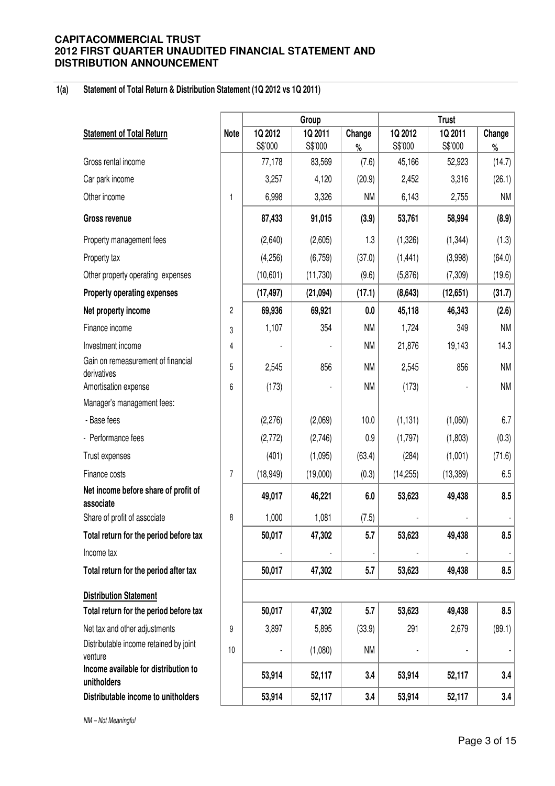#### **1(a) Statement of Total Return & Distribution Statement (1Q 2012 vs 1Q 2011)**

|                                                     |             |           | Group     |           |           | <b>Trust</b> |           |
|-----------------------------------------------------|-------------|-----------|-----------|-----------|-----------|--------------|-----------|
| <b>Statement of Total Return</b>                    | <b>Note</b> | 1Q 2012   | 1Q 2011   | Change    | 1Q 2012   | 1Q 2011      | Change    |
|                                                     |             | S\$'000   | S\$'000   | $\%$      | S\$'000   | S\$'000      | $\%$      |
| Gross rental income                                 |             | 77,178    | 83,569    | (7.6)     | 45,166    | 52,923       | (14.7)    |
| Car park income                                     |             | 3,257     | 4,120     | (20.9)    | 2,452     | 3,316        | (26.1)    |
| Other income                                        | 1           | 6,998     | 3,326     | <b>NM</b> | 6,143     | 2,755        | <b>NM</b> |
| Gross revenue                                       |             | 87,433    | 91,015    | (3.9)     | 53,761    | 58,994       | (8.9)     |
| Property management fees                            |             | (2,640)   | (2,605)   | 1.3       | (1,326)   | (1, 344)     | (1.3)     |
| Property tax                                        |             | (4,256)   | (6, 759)  | (37.0)    | (1, 441)  | (3,998)      | (64.0)    |
| Other property operating expenses                   |             | (10,601)  | (11, 730) | (9.6)     | (5,876)   | (7, 309)     | (19.6)    |
| <b>Property operating expenses</b>                  |             | (17, 497) | (21,094)  | (17.1)    | (8,643)   | (12, 651)    | (31.7)    |
| Net property income                                 | 2           | 69,936    | 69,921    | 0.0       | 45,118    | 46,343       | (2.6)     |
| Finance income                                      | 3           | 1,107     | 354       | <b>NM</b> | 1,724     | 349          | <b>NM</b> |
| Investment income                                   | 4           |           |           | <b>NM</b> | 21,876    | 19,143       | 14.3      |
| Gain on remeasurement of financial<br>derivatives   | 5           | 2,545     | 856       | <b>NM</b> | 2,545     | 856          | <b>NM</b> |
| Amortisation expense                                | 6           | (173)     |           | <b>NM</b> | (173)     |              | <b>NM</b> |
| Manager's management fees:                          |             |           |           |           |           |              |           |
| - Base fees                                         |             | (2,276)   | (2,069)   | 10.0      | (1, 131)  | (1,060)      | 6.7       |
| - Performance fees                                  |             | (2,772)   | (2,746)   | 0.9       | (1,797)   | (1,803)      | (0.3)     |
| Trust expenses                                      |             | (401)     | (1,095)   | (63.4)    | (284)     | (1,001)      | (71.6)    |
| Finance costs                                       | 7           | (18,949)  | (19,000)  | (0.3)     | (14, 255) | (13, 389)    | 6.5       |
| Net income before share of profit of<br>associate   |             | 49,017    | 46,221    | 6.0       | 53,623    | 49,438       | 8.5       |
| Share of profit of associate                        | 8           | 1,000     | 1,081     | (7.5)     |           |              |           |
| Total return for the period before tax              |             | 50,017    | 47,302    | 5.7       | 53,623    | 49,438       | 8.5       |
| Income tax                                          |             |           |           |           |           |              |           |
| Total return for the period after tax               |             | 50,017    | 47,302    | 5.7       | 53,623    | 49,438       | 8.5       |
| <b>Distribution Statement</b>                       |             |           |           |           |           |              |           |
| Total return for the period before tax              |             | 50,017    | 47,302    | 5.7       | 53,623    | 49,438       | 8.5       |
| Net tax and other adjustments                       | 9           | 3,897     | 5,895     | (33.9)    | 291       | 2,679        | (89.1)    |
| Distributable income retained by joint<br>venture   | 10          |           | (1,080)   | <b>NM</b> |           |              |           |
| Income available for distribution to<br>unitholders |             | 53,914    | 52,117    | 3.4       | 53,914    | 52,117       | 3.4       |
| Distributable income to unitholders                 |             | 53,914    | 52,117    | 3.4       | 53,914    | 52,117       | 3.4       |

NM – Not Meaningful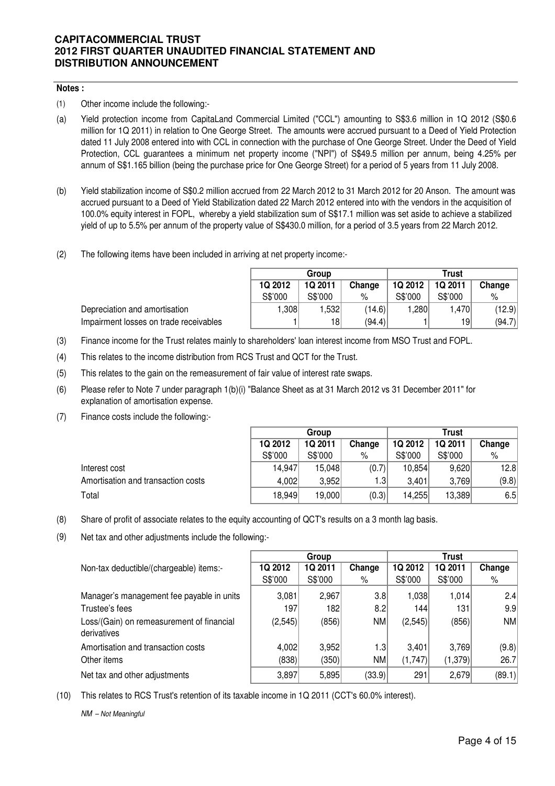# **Notes :**

(1) Other income include the following:-

- (a) Yield protection income from CapitaLand Commercial Limited ("CCL") amounting to S\$3.6 million in 1Q 2012 (S\$0.6 million for 1Q 2011) in relation to One George Street. The amounts were accrued pursuant to a Deed of Yield Protection dated 11 July 2008 entered into with CCL in connection with the purchase of One George Street. Under the Deed of Yield Protection, CCL guarantees a minimum net property income ("NPI") of S\$49.5 million per annum, being 4.25% per annum of S\$1.165 billion (being the purchase price for One George Street) for a period of 5 years from 11 July 2008.
- (b) Yield stabilization income of S\$0.2 million accrued from 22 March 2012 to 31 March 2012 for 20 Anson. The amount was accrued pursuant to a Deed of Yield Stabilization dated 22 March 2012 entered into with the vendors in the acquisition of 100.0% equity interest in FOPL, whereby a yield stabilization sum of S\$17.1 million was set aside to achieve a stabilized yield of up to 5.5% per annum of the property value of S\$430.0 million, for a period of 3.5 years from 22 March 2012.
- (2) The following items have been included in arriving at net property income:-

|                                        | Group   |                |        | Trust   |                |        |
|----------------------------------------|---------|----------------|--------|---------|----------------|--------|
|                                        | 1Q 2012 | <b>1Q 2011</b> | Change | 1Q 2012 | <b>1Q 2011</b> | Change |
|                                        | S\$'000 | S\$'000        | %      | S\$'000 | S\$'000        | %      |
| Depreciation and amortisation          | .308    | 532. ا         | (14.6) | 280. ا  | 1.470          | (12.9) |
| Impairment losses on trade receivables |         | 181            | (94.4) |         | 19             | (94.7) |

- (3) Finance income for the Trust relates mainly to shareholders' loan interest income from MSO Trust and FOPL.
- (4) This relates to the income distribution from RCS Trust and QCT for the Trust.
- (5) This relates to the gain on the remeasurement of fair value of interest rate swaps.
- (6) Please refer to Note 7 under paragraph 1(b)(i) "Balance Sheet as at 31 March 2012 vs 31 December 2011" for explanation of amortisation expense.
- (7) Finance costs include the following:-

|                                    | Group   |         |        | <b>Trust</b> |         |        |  |
|------------------------------------|---------|---------|--------|--------------|---------|--------|--|
|                                    | 1Q 2012 | 1Q 2011 | Change | 1Q 2012      | 1Q 2011 | Change |  |
|                                    | S\$'000 | S\$'000 | %      | S\$'000      | S\$'000 | %      |  |
| Interest cost                      | 14,947  | 15.048  | (0.7)  | 10,854       | 9,620   | 12.8   |  |
| Amortisation and transaction costs | 4,002   | 3.952   | 1.3    | 3.401        | 3.769   | (9.8)  |  |
| Total                              | 18,949  | 19,000  | (0.3)  | 14,255       | 13,389  | 6.5    |  |

- (8) Share of profit of associate relates to the equity accounting of QCT's results on a 3 month lag basis.
- (9) Net tax and other adjustments include the following:-

|                                                          |         | Group   |           |         | <b>Trust</b> |        |
|----------------------------------------------------------|---------|---------|-----------|---------|--------------|--------|
| Non-tax deductible/(chargeable) items:-                  | 1Q 2012 | 1Q 2011 | Change    | 1Q 2012 | 1Q 2011      | Change |
|                                                          | S\$'000 | S\$'000 | %         | S\$'000 | S\$'000      | %      |
| Manager's management fee payable in units                | 3,081   | 2,967   | 3.8       | 1,038   | 1,014        | 2.4    |
| Trustee's fees                                           | 197     | 182     | 8.2       | 1441    | 131          | 9.9    |
| Loss/(Gain) on remeasurement of financial<br>derivatives | (2,545) | (856)   | <b>NM</b> | (2,545) | (856)        | NM     |
| Amortisation and transaction costs                       | 4,002   | 3,952   | 1.3       | 3,401   | 3.769        | (9.8)  |
| Other items                                              | (838)   | (350)   | <b>NM</b> | (1,747) | (1,379)      | 26.7   |
| Net tax and other adjustments                            | 3,897   | 5,895   | (33.9)    | 291     | 2,679        | (89.1) |

(10) This relates to RCS Trust's retention of its taxable income in 1Q 2011 (CCT's 60.0% interest).

NM – Not Meaningful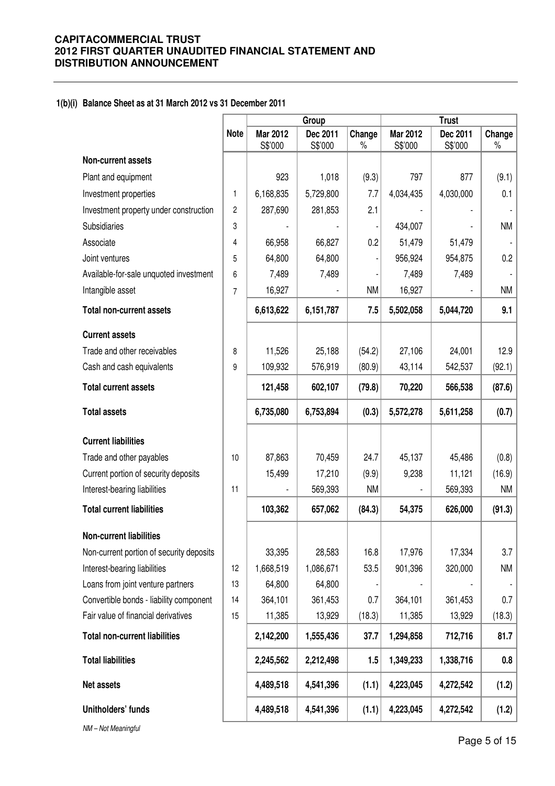# **1(b)(i) Balance Sheet as at 31 March 2012 vs 31 December 2011**

|                                          |                |                     | Group               |                | <b>Trust</b>        |                     |                |
|------------------------------------------|----------------|---------------------|---------------------|----------------|---------------------|---------------------|----------------|
|                                          | <b>Note</b>    | Mar 2012<br>S\$'000 | Dec 2011<br>S\$'000 | Change<br>$\%$ | Mar 2012<br>S\$'000 | Dec 2011<br>S\$'000 | Change<br>$\%$ |
| <b>Non-current assets</b>                |                |                     |                     |                |                     |                     |                |
| Plant and equipment                      |                | 923                 | 1,018               | (9.3)          | 797                 | 877                 | (9.1)          |
| Investment properties                    | 1              | 6,168,835           | 5,729,800           | 7.7            | 4,034,435           | 4,030,000           | 0.1            |
| Investment property under construction   | $\overline{c}$ | 287,690             | 281,853             | 2.1            |                     |                     |                |
| Subsidiaries                             | 3              |                     |                     |                | 434,007             |                     | <b>NM</b>      |
| Associate                                | 4              | 66,958              | 66,827              | 0.2            | 51,479              | 51,479              |                |
| Joint ventures                           | 5              | 64,800              | 64,800              |                | 956,924             | 954,875             | 0.2            |
| Available-for-sale unquoted investment   | 6              | 7,489               | 7,489               |                | 7,489               | 7,489               |                |
| Intangible asset                         | 7              | 16,927              |                     | <b>NM</b>      | 16,927              |                     | <b>NM</b>      |
| <b>Total non-current assets</b>          |                | 6,613,622           | 6,151,787           | 7.5            | 5,502,058           | 5,044,720           | 9.1            |
| <b>Current assets</b>                    |                |                     |                     |                |                     |                     |                |
| Trade and other receivables              | 8              | 11,526              | 25,188              | (54.2)         | 27,106              | 24,001              | 12.9           |
| Cash and cash equivalents                | 9              | 109,932             | 576,919             | (80.9)         | 43,114              | 542,537             | (92.1)         |
| <b>Total current assets</b>              |                | 121,458             | 602,107             | (79.8)         | 70,220              | 566,538             | (87.6)         |
| <b>Total assets</b>                      |                | 6,735,080           | 6,753,894           | (0.3)          | 5,572,278           | 5,611,258           | (0.7)          |
| <b>Current liabilities</b>               |                |                     |                     |                |                     |                     |                |
| Trade and other payables                 | 10             | 87,863              | 70,459              | 24.7           | 45,137              | 45,486              | (0.8)          |
| Current portion of security deposits     |                | 15,499              | 17,210              | (9.9)          | 9,238               | 11,121              | (16.9)         |
| Interest-bearing liabilities             | 11             |                     | 569,393             | <b>NM</b>      |                     | 569,393             | NM             |
| <b>Total current liabilities</b>         |                | 103,362             | 657,062             | (84.3)         | 54,375              | 626,000             | (91.3)         |
| <b>Non-current liabilities</b>           |                |                     |                     |                |                     |                     |                |
| Non-current portion of security deposits |                | 33,395              | 28,583              | 16.8           | 17,976              | 17,334              | 3.7            |
| Interest-bearing liabilities             | 12             | 1,668,519           | 1,086,671           | 53.5           | 901,396             | 320,000             | <b>NM</b>      |
| Loans from joint venture partners        | 13             | 64,800              | 64,800              |                |                     |                     |                |
| Convertible bonds - liability component  | 14             | 364,101             | 361,453             | 0.7            | 364,101             | 361,453             | 0.7            |
| Fair value of financial derivatives      | 15             | 11,385              | 13,929              | (18.3)         | 11,385              | 13,929              | (18.3)         |
| <b>Total non-current liabilities</b>     |                | 2,142,200           | 1,555,436           | 37.7           | 1,294,858           | 712,716             | 81.7           |
| <b>Total liabilities</b>                 |                | 2,245,562           | 2,212,498           | 1.5            | 1,349,233           | 1,338,716           | 0.8            |
| Net assets                               |                | 4,489,518           | 4,541,396           | (1.1)          | 4,223,045           | 4,272,542           | (1.2)          |
| Unitholders' funds                       |                | 4,489,518           | 4,541,396           | (1.1)          | 4,223,045           | 4,272,542           | (1.2)          |
| NM-Not Meaningful                        |                |                     |                     |                |                     |                     |                |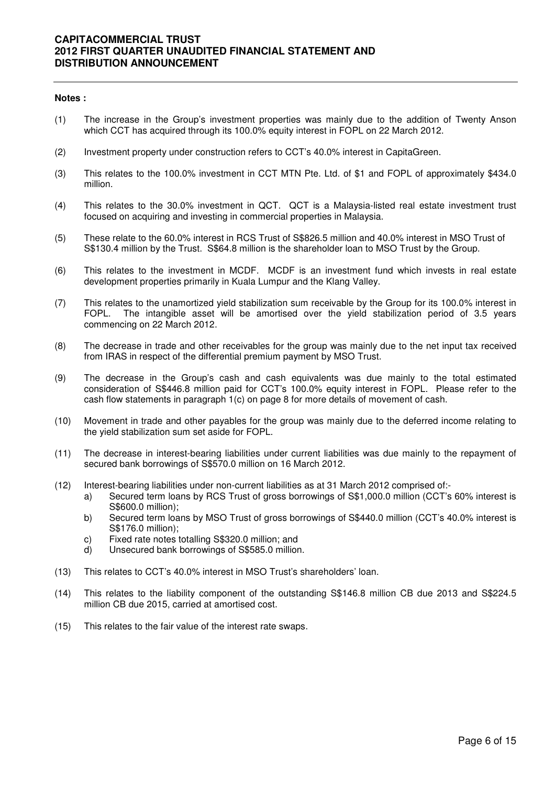#### **Notes :**

- (1) The increase in the Group's investment properties was mainly due to the addition of Twenty Anson which CCT has acquired through its 100.0% equity interest in FOPL on 22 March 2012.
- (2) Investment property under construction refers to CCT's 40.0% interest in CapitaGreen.
- (3) This relates to the 100.0% investment in CCT MTN Pte. Ltd. of \$1 and FOPL of approximately \$434.0 million.
- (4) This relates to the 30.0% investment in QCT. QCT is a Malaysia-listed real estate investment trust focused on acquiring and investing in commercial properties in Malaysia.
- (5) These relate to the 60.0% interest in RCS Trust of S\$826.5 million and 40.0% interest in MSO Trust of S\$130.4 million by the Trust. S\$64.8 million is the shareholder loan to MSO Trust by the Group.
- (6) This relates to the investment in MCDF. MCDF is an investment fund which invests in real estate development properties primarily in Kuala Lumpur and the Klang Valley.
- (7) This relates to the unamortized yield stabilization sum receivable by the Group for its 100.0% interest in FOPL. The intangible asset will be amortised over the yield stabilization period of 3.5 years commencing on 22 March 2012.
- (8) The decrease in trade and other receivables for the group was mainly due to the net input tax received from IRAS in respect of the differential premium payment by MSO Trust.
- (9) The decrease in the Group's cash and cash equivalents was due mainly to the total estimated consideration of S\$446.8 million paid for CCT's 100.0% equity interest in FOPL. Please refer to the cash flow statements in paragraph 1(c) on page 8 for more details of movement of cash.
- (10) Movement in trade and other payables for the group was mainly due to the deferred income relating to the yield stabilization sum set aside for FOPL.
- (11) The decrease in interest-bearing liabilities under current liabilities was due mainly to the repayment of secured bank borrowings of S\$570.0 million on 16 March 2012.
- (12) Interest-bearing liabilities under non-current liabilities as at 31 March 2012 comprised of:
	- a) Secured term loans by RCS Trust of gross borrowings of S\$1,000.0 million (CCT's 60% interest is S\$600.0 million);
	- b) Secured term loans by MSO Trust of gross borrowings of S\$440.0 million (CCT's 40.0% interest is S\$176.0 million);
	- c) Fixed rate notes totalling S\$320.0 million; and
	- d) Unsecured bank borrowings of S\$585.0 million.
- (13) This relates to CCT's 40.0% interest in MSO Trust's shareholders' loan.
- (14) This relates to the liability component of the outstanding S\$146.8 million CB due 2013 and S\$224.5 million CB due 2015, carried at amortised cost.
- (15) This relates to the fair value of the interest rate swaps.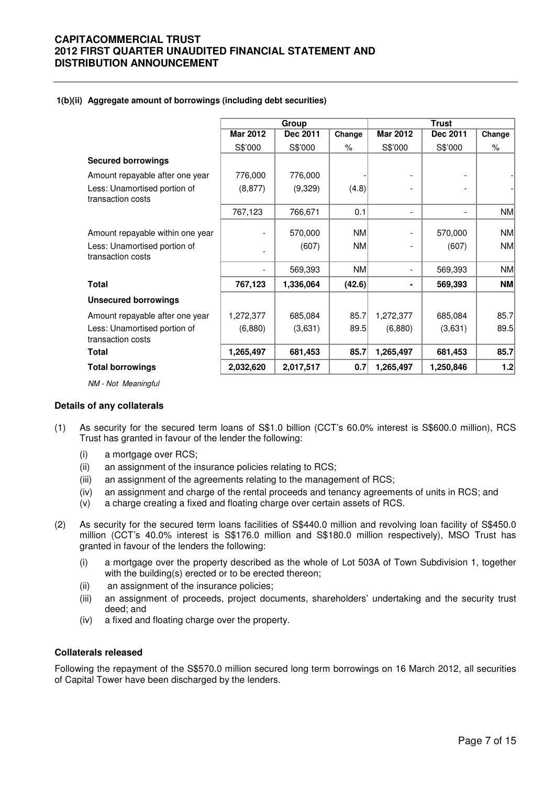#### **1(b)(ii) Aggregate amount of borrowings (including debt securities)**

|                                                   |                 | Group     |           |                 | <b>Trust</b>             |           |
|---------------------------------------------------|-----------------|-----------|-----------|-----------------|--------------------------|-----------|
|                                                   | <b>Mar 2012</b> | Dec 2011  | Change    | <b>Mar 2012</b> | Dec 2011                 | Change    |
|                                                   | S\$'000         | S\$'000   | %         | S\$'000         | S\$'000                  | %         |
| <b>Secured borrowings</b>                         |                 |           |           |                 |                          |           |
| Amount repayable after one year                   | 776,000         | 776,000   |           |                 | $\overline{\phantom{a}}$ |           |
| Less: Unamortised portion of<br>transaction costs | (8, 877)        | (9,329)   | (4.8)     |                 |                          |           |
|                                                   | 767,123         | 766,671   | 0.1       |                 | $\overline{\phantom{a}}$ | NM        |
| Amount repayable within one year                  |                 | 570,000   | <b>NM</b> |                 | 570,000                  | NM        |
| Less: Unamortised portion of<br>transaction costs |                 | (607)     | <b>NM</b> |                 | (607)                    | <b>NM</b> |
|                                                   |                 | 569,393   | <b>NM</b> |                 | 569,393                  | NM        |
| <b>Total</b>                                      | 767,123         | 1,336,064 | (42.6)    |                 | 569,393                  | $N$ M     |
| <b>Unsecured borrowings</b>                       |                 |           |           |                 |                          |           |
| Amount repayable after one year                   | 1,272,377       | 685,084   | 85.7      | 1,272,377       | 685,084                  | 85.7      |
| Less: Unamortised portion of<br>transaction costs | (6,880)         | (3,631)   | 89.5      | (6,880)         | (3,631)                  | 89.5      |
| Total                                             | 1,265,497       | 681,453   | 85.7      | 1,265,497       | 681,453                  | 85.7      |
| <b>Total borrowings</b>                           | 2,032,620       | 2,017,517 | 0.7       | 1,265,497       | 1,250,846                | 1.2       |

NM - Not Meaningful

#### **Details of any collaterals**

- (1) As security for the secured term loans of S\$1.0 billion (CCT's 60.0% interest is S\$600.0 million), RCS Trust has granted in favour of the lender the following:
	- (i) a mortgage over RCS;
	- (ii) an assignment of the insurance policies relating to RCS;
	- (iii) an assignment of the agreements relating to the management of RCS;
	- (iv) an assignment and charge of the rental proceeds and tenancy agreements of units in RCS; and
	- (v) a charge creating a fixed and floating charge over certain assets of RCS.
- (2) As security for the secured term loans facilities of S\$440.0 million and revolving loan facility of S\$450.0 million (CCT's 40.0% interest is S\$176.0 million and S\$180.0 million respectively), MSO Trust has granted in favour of the lenders the following:
	- (i) a mortgage over the property described as the whole of Lot 503A of Town Subdivision 1, together with the building(s) erected or to be erected thereon;
	- (ii) an assignment of the insurance policies;
	- (iii) an assignment of proceeds, project documents, shareholders' undertaking and the security trust deed; and
	- (iv) a fixed and floating charge over the property.

#### **Collaterals released**

Following the repayment of the S\$570.0 million secured long term borrowings on 16 March 2012, all securities of Capital Tower have been discharged by the lenders.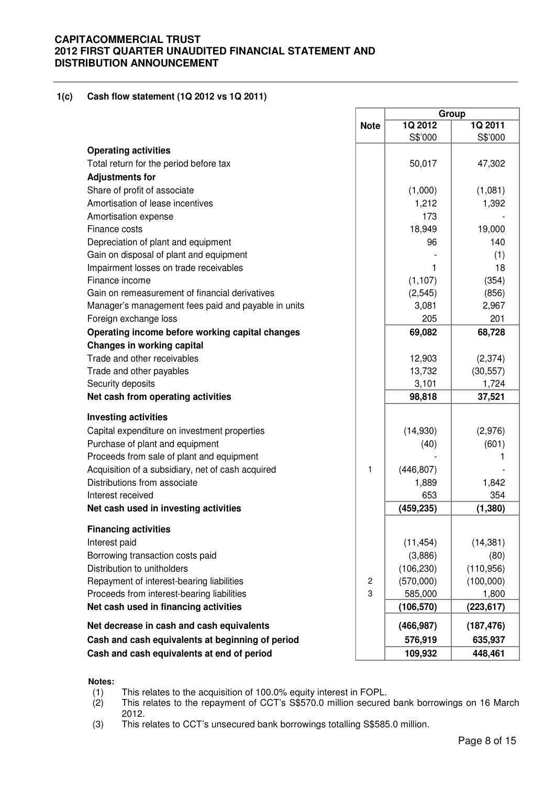#### **1(c) Cash flow statement (1Q 2012 vs 1Q 2011)**

|                                                     |                |                    | Group              |
|-----------------------------------------------------|----------------|--------------------|--------------------|
|                                                     | <b>Note</b>    | 1Q 2012<br>S\$'000 | 1Q 2011<br>S\$'000 |
| <b>Operating activities</b>                         |                |                    |                    |
| Total return for the period before tax              |                | 50,017             | 47,302             |
| <b>Adjustments for</b>                              |                |                    |                    |
| Share of profit of associate                        |                | (1,000)            | (1,081)            |
| Amortisation of lease incentives                    |                | 1,212              | 1,392              |
| Amortisation expense                                |                | 173                |                    |
| Finance costs                                       |                | 18,949             | 19,000             |
| Depreciation of plant and equipment                 |                | 96                 | 140                |
| Gain on disposal of plant and equipment             |                |                    | (1)                |
| Impairment losses on trade receivables              |                | 1                  | 18                 |
| Finance income                                      |                | (1, 107)           | (354)              |
| Gain on remeasurement of financial derivatives      |                | (2, 545)           | (856)              |
| Manager's management fees paid and payable in units |                | 3,081              | 2,967              |
| Foreign exchange loss                               |                | 205                | 201                |
| Operating income before working capital changes     |                | 69,082             | 68,728             |
| <b>Changes in working capital</b>                   |                |                    |                    |
| Trade and other receivables                         |                | 12,903             | (2, 374)           |
| Trade and other payables                            |                | 13,732             | (30, 557)          |
| Security deposits                                   |                | 3,101              | 1,724              |
| Net cash from operating activities                  |                | 98,818             | 37,521             |
| <b>Investing activities</b>                         |                |                    |                    |
| Capital expenditure on investment properties        |                | (14,930)           | (2,976)            |
| Purchase of plant and equipment                     |                | (40)               | (601)              |
| Proceeds from sale of plant and equipment           |                |                    |                    |
| Acquisition of a subsidiary, net of cash acquired   | 1              | (446, 807)         |                    |
| Distributions from associate                        |                | 1,889              | 1,842              |
| Interest received                                   |                | 653                | 354                |
| Net cash used in investing activities               |                | (459, 235)         | (1, 380)           |
| <b>Financing activities</b>                         |                |                    |                    |
| Interest paid                                       |                | (11, 454)          | (14, 381)          |
| Borrowing transaction costs paid                    |                | (3,886)            | (80)               |
| Distribution to unitholders                         |                | (106, 230)         | (110, 956)         |
| Repayment of interest-bearing liabilities           | $\overline{c}$ | (570,000)          | (100,000)          |
| Proceeds from interest-bearing liabilities          | 3              | 585,000            | 1,800              |
| Net cash used in financing activities               |                | (106, 570)         | (223, 617)         |
| Net decrease in cash and cash equivalents           |                | (466, 987)         | (187, 476)         |
| Cash and cash equivalents at beginning of period    |                | 576,919            | 635,937            |
| Cash and cash equivalents at end of period          |                | 109,932            | 448,461            |

#### **Notes:**

(1) This relates to the acquisition of 100.0% equity interest in FOPL.<br>(2) This relates to the repayment of CCT's S\$570.0 million secured This relates to the repayment of CCT's S\$570.0 million secured bank borrowings on 16 March 2012.

(3) This relates to CCT's unsecured bank borrowings totalling S\$585.0 million.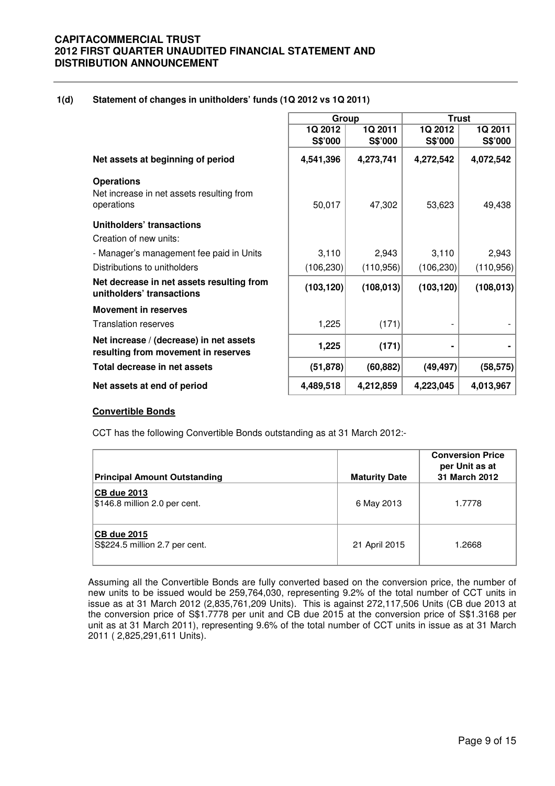#### **1(d) Statement of changes in unitholders' funds (1Q 2012 vs 1Q 2011)**

|                                                                                | Group              |                    | <b>Trust</b>       |                    |  |
|--------------------------------------------------------------------------------|--------------------|--------------------|--------------------|--------------------|--|
|                                                                                | 1Q 2012<br>S\$'000 | 1Q 2011<br>S\$'000 | 1Q 2012<br>S\$'000 | 1Q 2011<br>S\$'000 |  |
| Net assets at beginning of period                                              | 4,541,396          | 4,273,741          | 4,272,542          | 4,072,542          |  |
| <b>Operations</b>                                                              |                    |                    |                    |                    |  |
| Net increase in net assets resulting from                                      |                    |                    |                    |                    |  |
| operations                                                                     | 50,017             | 47,302             | 53,623             | 49,438             |  |
| Unitholders' transactions                                                      |                    |                    |                    |                    |  |
| Creation of new units:                                                         |                    |                    |                    |                    |  |
| - Manager's management fee paid in Units                                       | 3,110              | 2,943              | 3,110              | 2,943              |  |
| Distributions to unitholders                                                   | (106, 230)         | (110,956)          | (106, 230)         | (110, 956)         |  |
| Net decrease in net assets resulting from<br>unitholders' transactions         | (103, 120)         | (108, 013)         | (103, 120)         | (108, 013)         |  |
| <b>Movement in reserves</b>                                                    |                    |                    |                    |                    |  |
| <b>Translation reserves</b>                                                    | 1,225              | (171)              |                    |                    |  |
| Net increase / (decrease) in net assets<br>resulting from movement in reserves | 1,225              | (171)              |                    |                    |  |
| Total decrease in net assets                                                   | (51, 878)          | (60, 882)          | (49, 497)          | (58, 575)          |  |
| Net assets at end of period                                                    | 4,489,518          | 4,212,859          | 4,223,045          | 4,013,967          |  |

#### **Convertible Bonds**

CCT has the following Convertible Bonds outstanding as at 31 March 2012:-

| <b>Principal Amount Outstanding</b>                  | <b>Maturity Date</b> | <b>Conversion Price</b><br>per Unit as at<br>31 March 2012 |
|------------------------------------------------------|----------------------|------------------------------------------------------------|
| <b>CB due 2013</b><br>\$146.8 million 2.0 per cent.  | 6 May 2013           | 1.7778                                                     |
| <b>CB due 2015</b><br>S\$224.5 million 2.7 per cent. | 21 April 2015        | 1.2668                                                     |

Assuming all the Convertible Bonds are fully converted based on the conversion price, the number of new units to be issued would be 259,764,030, representing 9.2% of the total number of CCT units in issue as at 31 March 2012 (2,835,761,209 Units). This is against 272,117,506 Units (CB due 2013 at the conversion price of S\$1.7778 per unit and CB due 2015 at the conversion price of S\$1.3168 per unit as at 31 March 2011), representing 9.6% of the total number of CCT units in issue as at 31 March 2011 ( 2,825,291,611 Units).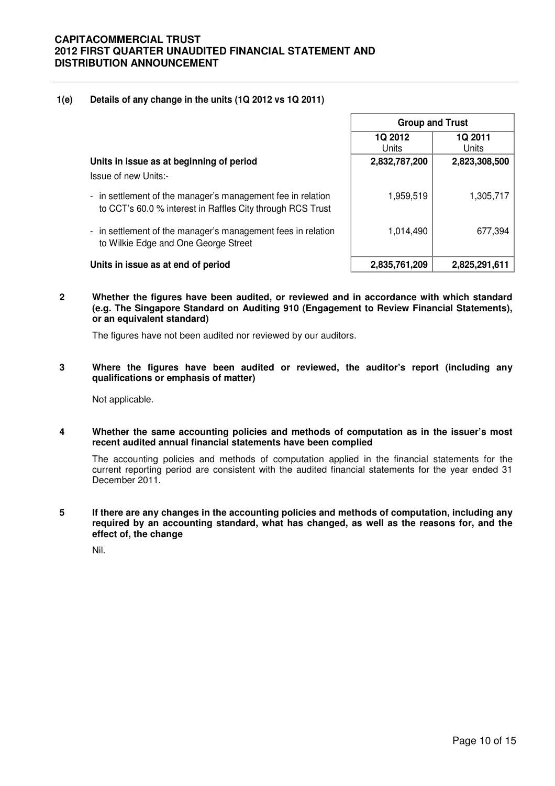### **1(e) Details of any change in the units (1Q 2012 vs 1Q 2011)**

|                                                                                                                           | <b>Group and Trust</b>  |                  |  |
|---------------------------------------------------------------------------------------------------------------------------|-------------------------|------------------|--|
|                                                                                                                           | <b>1Q 2012</b><br>Units | 1Q 2011<br>Units |  |
| Units in issue as at beginning of period<br>Issue of new Units:-                                                          | 2,832,787,200           | 2,823,308,500    |  |
| - in settlement of the manager's management fee in relation<br>to CCT's 60.0 % interest in Raffles City through RCS Trust | 1,959,519               | 1,305,717        |  |
| - in settlement of the manager's management fees in relation<br>to Wilkie Edge and One George Street                      | 1,014,490               | 677,394          |  |
| Units in issue as at end of period                                                                                        | 2,835,761,209           | 2,825,291,611    |  |

**2 Whether the figures have been audited, or reviewed and in accordance with which standard (e.g. The Singapore Standard on Auditing 910 (Engagement to Review Financial Statements), or an equivalent standard)** 

The figures have not been audited nor reviewed by our auditors.

**3 Where the figures have been audited or reviewed, the auditor's report (including any qualifications or emphasis of matter)** 

Not applicable.

**4 Whether the same accounting policies and methods of computation as in the issuer's most recent audited annual financial statements have been complied** 

The accounting policies and methods of computation applied in the financial statements for the current reporting period are consistent with the audited financial statements for the year ended 31 December 2011.

**5 If there are any changes in the accounting policies and methods of computation, including any required by an accounting standard, what has changed, as well as the reasons for, and the effect of, the change** 

Nil.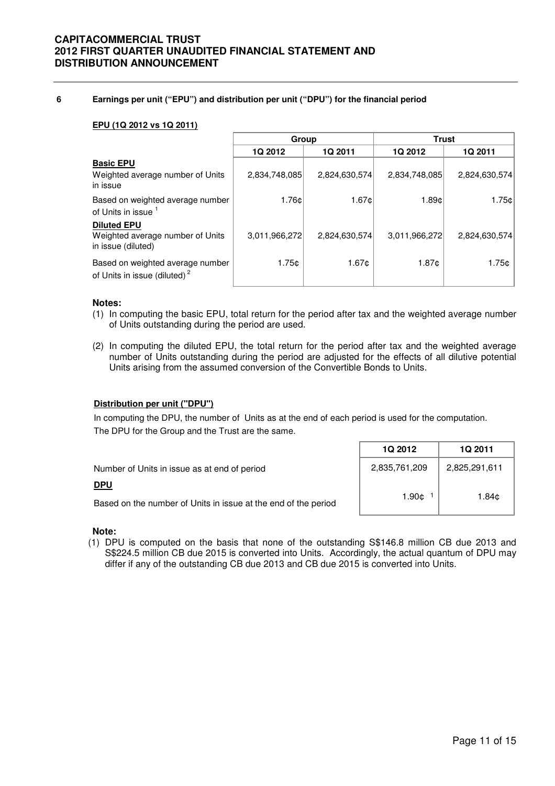#### **6 Earnings per unit ("EPU") and distribution per unit ("DPU") for the financial period**

#### **EPU (1Q 2012 vs 1Q 2011)**

|                                                                              | Group         |                   | <b>Trust</b>   |                |  |
|------------------------------------------------------------------------------|---------------|-------------------|----------------|----------------|--|
|                                                                              | 1Q 2012       | 1Q 2011           | <b>1Q 2012</b> | <b>1Q 2011</b> |  |
| <b>Basic EPU</b><br>Weighted average number of Units<br>in issue             | 2,834,748,085 | 2,824,630,574     | 2,834,748,085  | 2,824,630,574  |  |
| Based on weighted average number<br>of Units in issue <sup>1</sup>           | 1.76c         | 1.67 <sub>¢</sub> | 1.89¢          | 1.75c          |  |
| <b>Diluted EPU</b><br>Weighted average number of Units<br>in issue (diluted) | 3,011,966,272 | 2,824,630,574     | 3,011,966,272  | 2,824,630,574  |  |
| Based on weighted average number<br>of Units in issue (diluted) <sup>2</sup> | 1.75c         | 1.67¢             | 1.87c          | 1.75c          |  |

#### **Notes:**

- (1) In computing the basic EPU, total return for the period after tax and the weighted average number of Units outstanding during the period are used.
- (2) In computing the diluted EPU, the total return for the period after tax and the weighted average number of Units outstanding during the period are adjusted for the effects of all dilutive potential Units arising from the assumed conversion of the Convertible Bonds to Units.

#### **Distribution per unit ("DPU")**

In computing the DPU, the number of Units as at the end of each period is used for the computation. The DPU for the Group and the Trust are the same.

|                                                                | 1Q 2012       | <b>1Q 2011</b> |
|----------------------------------------------------------------|---------------|----------------|
| Number of Units in issue as at end of period                   | 2,835,761,209 | 2,825,291,611  |
| <u>DPU</u>                                                     |               |                |
| Based on the number of Units in issue at the end of the period | 1.90¢         | 1.84¢          |

#### **Note:**

(1) DPU is computed on the basis that none of the outstanding S\$146.8 million CB due 2013 and S\$224.5 million CB due 2015 is converted into Units. Accordingly, the actual quantum of DPU may differ if any of the outstanding CB due 2013 and CB due 2015 is converted into Units.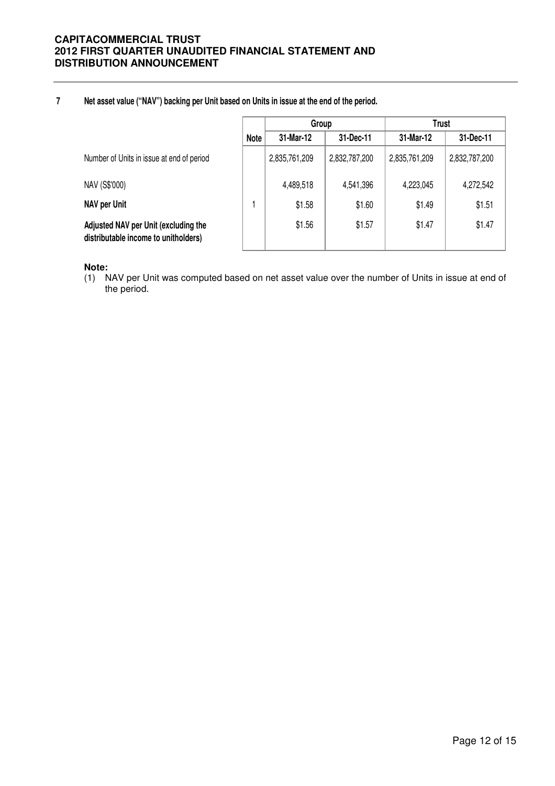#### **7 Net asset value ("NAV") backing per Unit based on Units in issue at the end of the period.**

|                                                                              |             | Group         |               | <b>Trust</b>  |               |
|------------------------------------------------------------------------------|-------------|---------------|---------------|---------------|---------------|
|                                                                              | <b>Note</b> | 31-Mar-12     | 31-Dec-11     | 31-Mar-12     | 31-Dec-11     |
| Number of Units in issue at end of period                                    |             | 2,835,761,209 | 2,832,787,200 | 2,835,761,209 | 2,832,787,200 |
| NAV (S\$'000)                                                                |             | 4,489,518     | 4,541,396     | 4,223,045     | 4,272,542     |
| NAV per Unit                                                                 |             | \$1.58        | \$1.60        | \$1.49        | \$1.51        |
| Adjusted NAV per Unit (excluding the<br>distributable income to unitholders) |             | \$1.56        | \$1.57        | \$1.47        | \$1.47        |

#### **Note:**

(1) NAV per Unit was computed based on net asset value over the number of Units in issue at end of the period.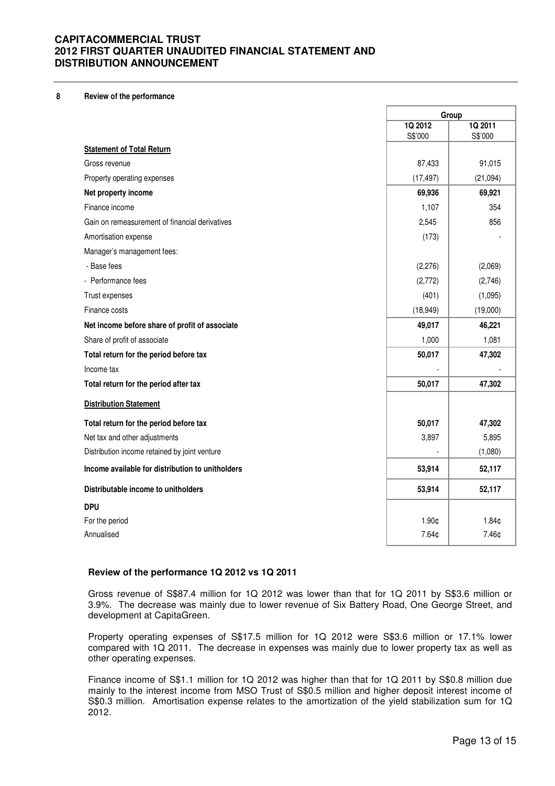#### **8 Review of the performance**

|                                                  |                    | Group              |  |
|--------------------------------------------------|--------------------|--------------------|--|
|                                                  | 1Q 2012<br>S\$'000 | 1Q 2011<br>S\$'000 |  |
| <b>Statement of Total Return</b>                 |                    |                    |  |
| Gross revenue                                    | 87,433             | 91,015             |  |
| Property operating expenses                      | (17, 497)          | (21,094)           |  |
| Net property income                              | 69,936             | 69,921             |  |
| Finance income                                   | 1,107              | 354                |  |
| Gain on remeasurement of financial derivatives   | 2,545              | 856                |  |
| Amortisation expense                             | (173)              |                    |  |
| Manager's management fees:                       |                    |                    |  |
| - Base fees                                      | (2, 276)           | (2,069)            |  |
| - Performance fees                               | (2,772)            | (2,746)            |  |
| Trust expenses                                   | (401)              | (1,095)            |  |
| Finance costs                                    | (18, 949)          | (19,000)           |  |
| Net income before share of profit of associate   | 49,017             | 46,221             |  |
| Share of profit of associate                     | 1,000              | 1,081              |  |
| Total return for the period before tax           | 50,017             | 47,302             |  |
| Income tax                                       |                    |                    |  |
| Total return for the period after tax            | 50,017             | 47,302             |  |
| <b>Distribution Statement</b>                    |                    |                    |  |
| Total return for the period before tax           | 50,017             | 47,302             |  |
| Net tax and other adjustments                    | 3,897              | 5,895              |  |
| Distribution income retained by joint venture    |                    | (1,080)            |  |
| Income available for distribution to unitholders | 53,914             | 52,117             |  |
| Distributable income to unitholders              | 53,914             | 52,117             |  |
| <b>DPU</b>                                       |                    |                    |  |
| For the period                                   | 1.90¢              | 1.84¢              |  |
| Annualised                                       | 7.64¢              | 7.46¢              |  |

#### **Review of the performance 1Q 2012 vs 1Q 2011**

 Gross revenue of S\$87.4 million for 1Q 2012 was lower than that for 1Q 2011 by S\$3.6 million or 3.9%. The decrease was mainly due to lower revenue of Six Battery Road, One George Street, and development at CapitaGreen.

Property operating expenses of S\$17.5 million for 1Q 2012 were S\$3.6 million or 17.1% lower compared with 1Q 2011. The decrease in expenses was mainly due to lower property tax as well as other operating expenses.

Finance income of S\$1.1 million for 1Q 2012 was higher than that for 1Q 2011 by S\$0.8 million due mainly to the interest income from MSO Trust of S\$0.5 million and higher deposit interest income of S\$0.3 million. Amortisation expense relates to the amortization of the yield stabilization sum for 1Q 2012.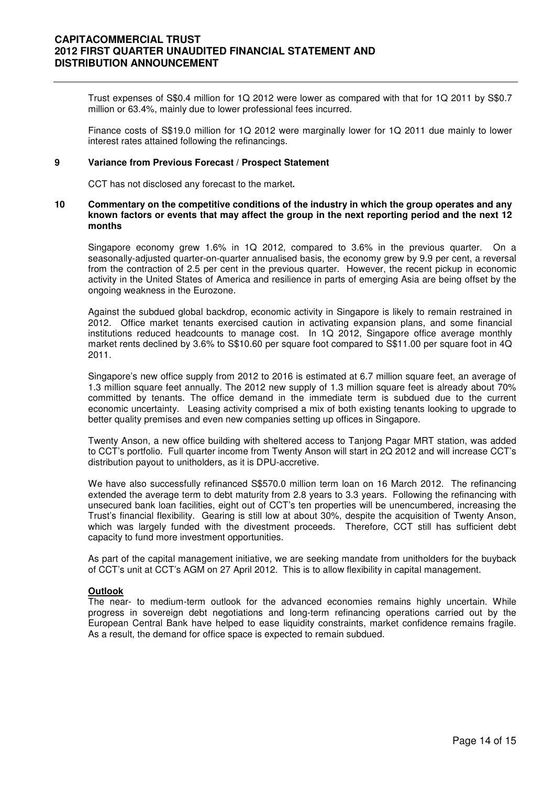Trust expenses of S\$0.4 million for 1Q 2012 were lower as compared with that for 1Q 2011 by S\$0.7 million or 63.4%, mainly due to lower professional fees incurred.

Finance costs of S\$19.0 million for 1Q 2012 were marginally lower for 1Q 2011 due mainly to lower interest rates attained following the refinancings.

#### **9 Variance from Previous Forecast / Prospect Statement**

CCT has not disclosed any forecast to the market**.** 

#### **10 Commentary on the competitive conditions of the industry in which the group operates and any known factors or events that may affect the group in the next reporting period and the next 12 months**

Singapore economy grew 1.6% in 1Q 2012, compared to 3.6% in the previous quarter. On a seasonally-adjusted quarter-on-quarter annualised basis, the economy grew by 9.9 per cent, a reversal from the contraction of 2.5 per cent in the previous quarter. However, the recent pickup in economic activity in the United States of America and resilience in parts of emerging Asia are being offset by the ongoing weakness in the Eurozone.

Against the subdued global backdrop, economic activity in Singapore is likely to remain restrained in 2012. Office market tenants exercised caution in activating expansion plans, and some financial institutions reduced headcounts to manage cost. In 1Q 2012, Singapore office average monthly market rents declined by 3.6% to S\$10.60 per square foot compared to S\$11.00 per square foot in 4Q 2011.

Singapore's new office supply from 2012 to 2016 is estimated at 6.7 million square feet, an average of 1.3 million square feet annually. The 2012 new supply of 1.3 million square feet is already about 70% committed by tenants. The office demand in the immediate term is subdued due to the current economic uncertainty. Leasing activity comprised a mix of both existing tenants looking to upgrade to better quality premises and even new companies setting up offices in Singapore.

Twenty Anson, a new office building with sheltered access to Tanjong Pagar MRT station, was added to CCT's portfolio. Full quarter income from Twenty Anson will start in 2Q 2012 and will increase CCT's distribution payout to unitholders, as it is DPU-accretive.

We have also successfully refinanced S\$570.0 million term loan on 16 March 2012. The refinancing extended the average term to debt maturity from 2.8 years to 3.3 years. Following the refinancing with unsecured bank loan facilities, eight out of CCT's ten properties will be unencumbered, increasing the Trust's financial flexibility. Gearing is still low at about 30%, despite the acquisition of Twenty Anson, which was largely funded with the divestment proceeds. Therefore, CCT still has sufficient debt capacity to fund more investment opportunities.

As part of the capital management initiative, we are seeking mandate from unitholders for the buyback of CCT's unit at CCT's AGM on 27 April 2012. This is to allow flexibility in capital management.

#### **Outlook**

The near- to medium-term outlook for the advanced economies remains highly uncertain. While progress in sovereign debt negotiations and long-term refinancing operations carried out by the European Central Bank have helped to ease liquidity constraints, market confidence remains fragile. As a result, the demand for office space is expected to remain subdued.